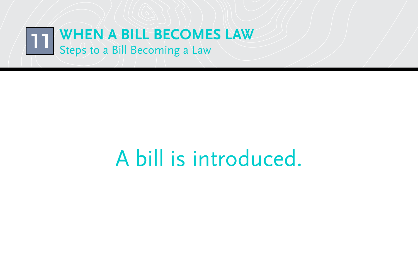

#### A bill is introduced.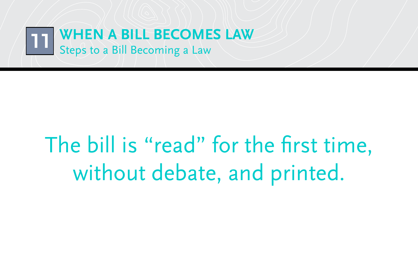

## The bill is "read" for the first time, without debate, and printed.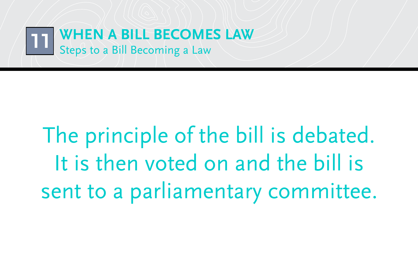

# The principle of the bill is debated. It is then voted on and the bill is sent to a parliamentary committee.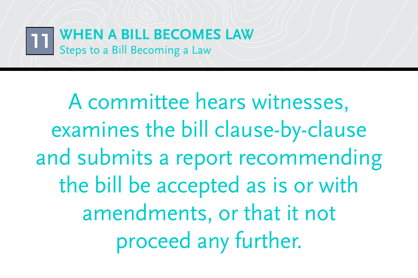

A committee hears witnesses, examines the bill clause-by-clause and submits a report recommending the bill be accepted as is or with amendments, or that it not proceed any further.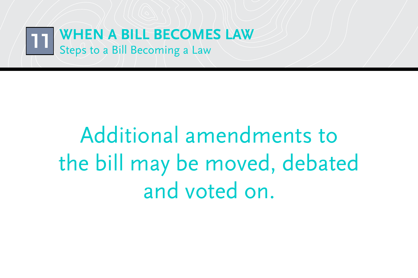

## Additional amendments to the bill may be moved, debated and voted on.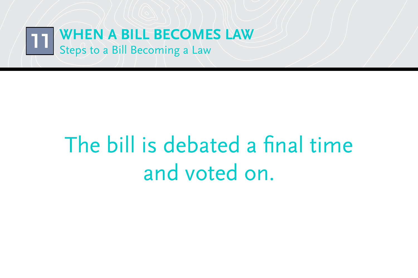

### The bill is debated a final time and voted on.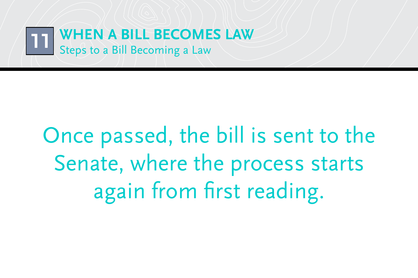

# Once passed, the bill is sent to the Senate, where the process starts again from first reading.